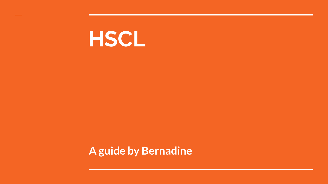

#### **A guide by Bernadine**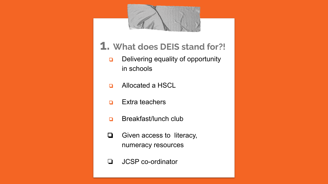

- **1. What does DEIS stand for?!**
	- ❏ Delivering equality of opportunity in schools
	- ❏ Allocated a HSCL
	- ❏ Extra teachers
	- ❏ Breakfast/lunch club
	- ❏ Given access to literacy, numeracy resources
	- ❏ JCSP co-ordinator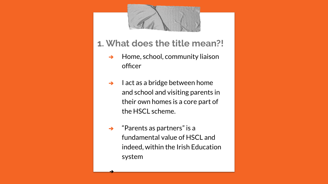

- **1. What does the title mean?!**
	- ➔ Home, school, community liaison officer
	- $\rightarrow$  I act as a bridge between home and school and visiting parents in their own homes is a core part of the HSCL scheme.
	- $\rightarrow$  "Parents as partners" is a fundamental value of HSCL and indeed, within the Irish Education system

➔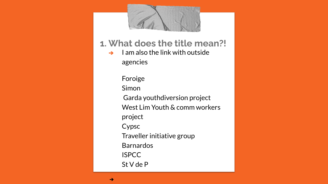

#### **1. What does the title mean?!**

 $\rightarrow$  I am also the link with outside agencies

> Foroige Simon Garda youthdiversion project West Lim Youth & comm workers project Cypsc Traveller initiative group Barnardos ISPCC St V de P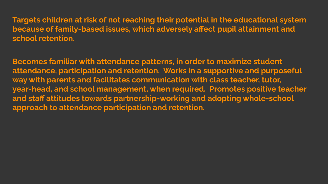**Targets children at risk of not reaching their potential in the educational system because of family-based issues, which adversely affect pupil attainment and school retention.** 

**Becomes familiar with attendance patterns, in order to maximize student attendance, participation and retention. Works in a supportive and purposeful way with parents and facilitates communication with class teacher, tutor, year-head, and school management, when required. Promotes positive teacher and staff attitudes towards partnership-working and adopting whole-school approach to attendance participation and retention.**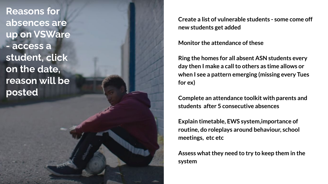**Reasons for absences are up on VSWare - access a student, click on the date, reason will be posted**

**Create a list of vulnerable students - some come off new students get added**

**Monitor the attendance of these**

**Ring the homes for all absent ASN students every day then I make a call to others as time allows or when I see a pattern emerging (missing every Tues for ex)** 

**Complete an attendance toolkit with parents and students after 5 consecutive absences**

**Explain timetable, EWS system,importance of routine, do roleplays around behaviour, school meetings, etc etc**

**Assess what they need to try to keep them in the system**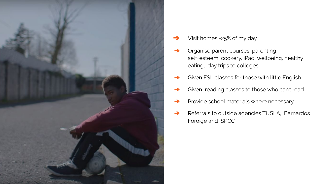

- Visit homes -25% of my day
- ➔ Organise parent courses, parenting, self=esteem, cookery, iPad, wellbeing, healthy eating, day trips to colleges
- Given ESL classes for those with little English
- Given reading classes to those who can't read
- ➔ Provide school materials where necessary
- **→** Referrals to outside agencies TUSLA, Barnardos Foroige and ISPCC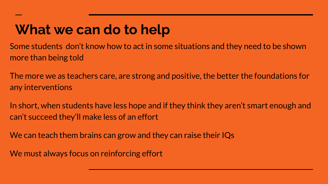### **What we can do to help**

Some students don't know how to act in some situations and they need to be shown more than being told

The more we as teachers care, are strong and positive, the better the foundations for any interventions

In short, when students have less hope and if they think they aren't smart enough and can't succeed they'll make less of an effort

We can teach them brains can grow and they can raise their IQs

We must always focus on reinforcing effort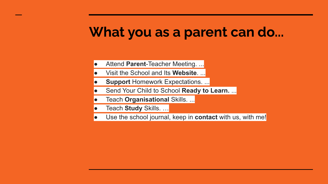#### **What you as a parent can do...**

- Attend **Parent-Teacher Meeting....**
- Visit the School and Its **Website**. ...
- **Support Homework Expectations. ...**
- Send Your Child to School Ready to Learn. ...
- **Teach Organisational Skills. ...**
- Teach **Study** Skills. ...
- Use the school journal, keep in **contact** with us, with me!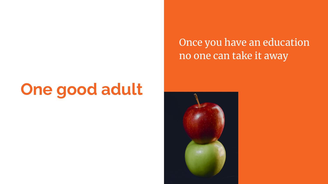## **One good adult**

Once you have an education no one can take it away